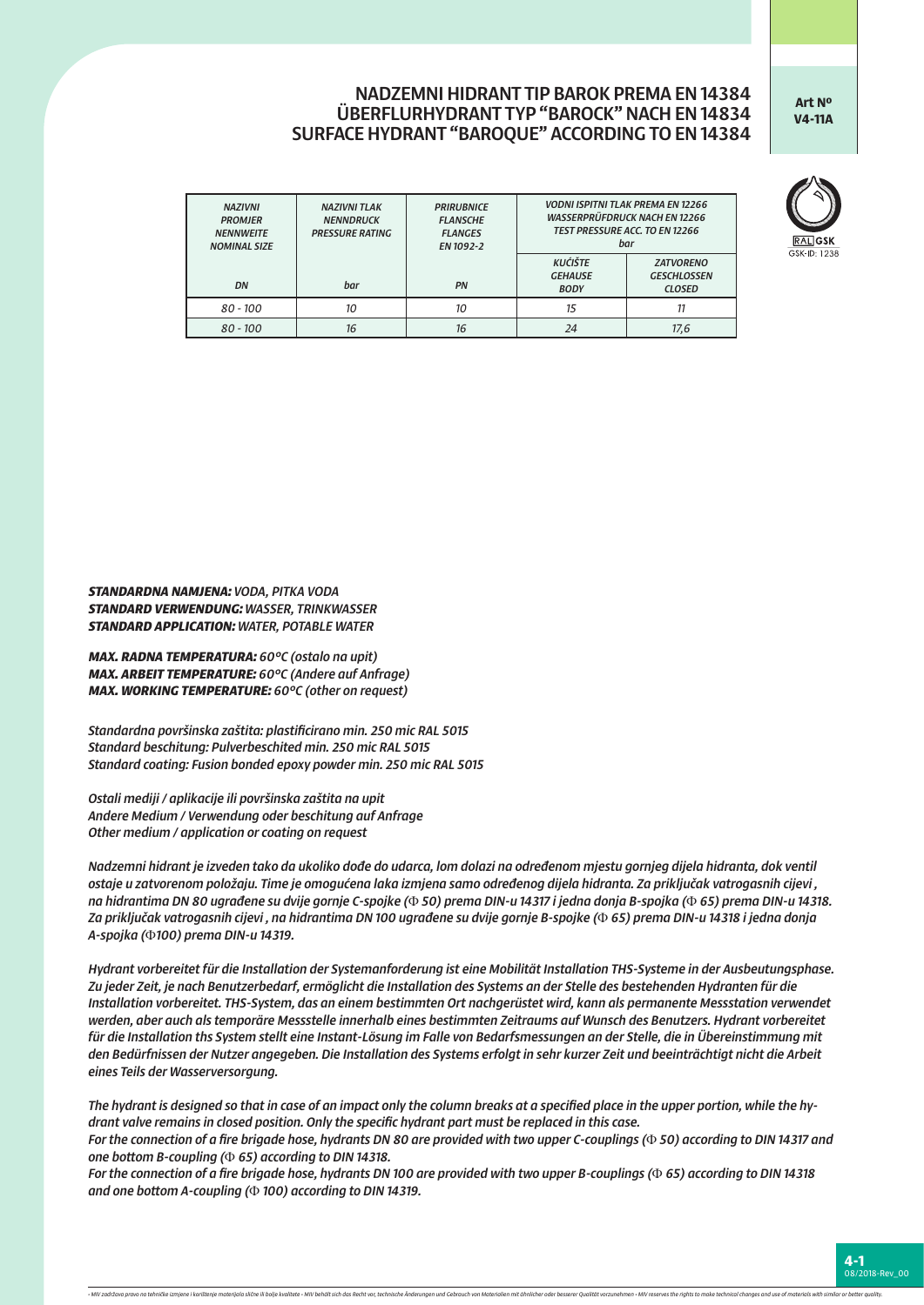## NADZEMNI HIDRANT TIP BAROK PREMA EN 14384 ÜBERFLURHYDRANT TYP "BAROCK" NACH EN 14834 SURFACE HYDRANT "BAROQUE" ACCORDING TO EN 14384

**Art Nº V4-11A**



| <b>NAZIVNI</b><br><b>PROMJER</b><br><b>NENNWEITE</b><br><b>NOMINAL SIZE</b> | <b>NAZIVNI TLAK</b><br><b>NENNDRUCK</b><br><b>PRESSURE RATING</b> | <b>PRIRUBNICE</b><br><b>FLANSCHE</b><br><b>FLANGES</b><br>EN 1092-2 | <b>VODNI ISPITNI TLAK PREMA EN 12266</b><br><b>WASSERPRÜFDRUCK NACH EN 12266</b><br><b>TEST PRESSURE ACC. TO EN 12266</b><br>bar |                                                         |  |  |
|-----------------------------------------------------------------------------|-------------------------------------------------------------------|---------------------------------------------------------------------|----------------------------------------------------------------------------------------------------------------------------------|---------------------------------------------------------|--|--|
| DN                                                                          | bar                                                               | PN                                                                  | <b>KUĆIŠTE</b><br><b>GEHAUSE</b><br><b>BODY</b>                                                                                  | <b>ZATVORENO</b><br><b>GESCHLOSSEN</b><br><b>CLOSED</b> |  |  |
| $80 - 100$                                                                  | 10                                                                | 10                                                                  | 15                                                                                                                               |                                                         |  |  |

*80 - 100 16 16 24 17,6*

*STANDARDNA NAMJENA: VODA, PITKA VODA STANDARD VERWENDUNG: WASSER, TRINKWASSER STANDARD APPLICATION: WATER, POTABLE WATER*

*MAX. RADNA TEMPERATURA: 60°C (ostalo na upit) MAX. ARBEIT TEMPERATURE: 60°C (Andere auf Anfrage) MAX. WORKING TEMPERATURE: 60°C (other on request)*

*Standardna površinska zaštita: plastificirano min. 250 mic RAL 5015 Standard beschitung: Pulverbeschited min. 250 mic RAL 5015 Standard coating: Fusion bonded epoxy powder min. 250 mic RAL 5015*

*Ostali mediji / aplikacije ili površinska zaštita na upit Andere Medium / Verwendung oder beschitung auf Anfrage Other medium / application or coating on request*

*Nadzemni hidrant je izveden tako da ukoliko dođe do udarca, lom dolazi na određenom mjestu gornjeg dijela hidranta, dok ventil ostaje u zatvorenom položaju. Time je omogućena laka izmjena samo određenog dijela hidranta. Za priključak vatrogasnih cijevi , na hidrantima DN 80 ugrađene su dvije gornje C-spojke (*Φ *50) prema DIN-u 14317 i jedna donja B-spojka (*Φ *65) prema DIN-u 14318. Za priključak vatrogasnih cijevi , na hidrantima DN 100 ugrađene su dvije gornje B-spojke (*Φ *65) prema DIN-u 14318 i jedna donja A-spojka (*Φ*100) prema DIN-u 14319.*

*Hydrant vorbereitet für die Installation der Systemanforderung ist eine Mobilität Installation THS-Systeme in der Ausbeutungsphase. Zu jeder Zeit, je nach Benutzerbedarf, ermöglicht die Installation des Systems an der Stelle des bestehenden Hydranten für die Installation vorbereitet. THS-System, das an einem bestimmten Ort nachgerüstet wird, kann als permanente Messstation verwendet werden, aber auch als temporäre Messstelle innerhalb eines bestimmten Zeitraums auf Wunsch des Benutzers. Hydrant vorbereitet für die Installation ths System stellt eine Instant-Lösung im Falle von Bedarfsmessungen an der Stelle, die in Übereinstimmung mit den Bedürfnissen der Nutzer angegeben. Die Installation des Systems erfolgt in sehr kurzer Zeit und beeinträchtigt nicht die Arbeit eines Teils der Wasserversorgung.*

*The hydrant is designed so that in case of an impact only the column breaks at a specified place in the upper portion, while the hydrant valve remains in closed position. Only the specific hydrant part must be replaced in this case.*

*For the connection of a fire brigade hose, hydrants DN 80 are provided with two upper C-couplings (*Φ *50) according to DIN 14317 and one bottom B-coupling (*Φ *65) according to DIN 14318.*

*For the connection of a fire brigade hose, hydrants DN 100 are provided with two upper B-couplings (*Φ *65) according to DIN 14318 and one bottom A-coupling (*Φ *100) according to DIN 14319.*

-<br>- MIV zadržava pravo na tehničke izmine i korištenje materijala slične ili balje kvalitete - MIV behålt sich da Recht var technische Andermaen und Gehrauch van Materialien mit åbaljcher ader besserer Qualität varzunehmen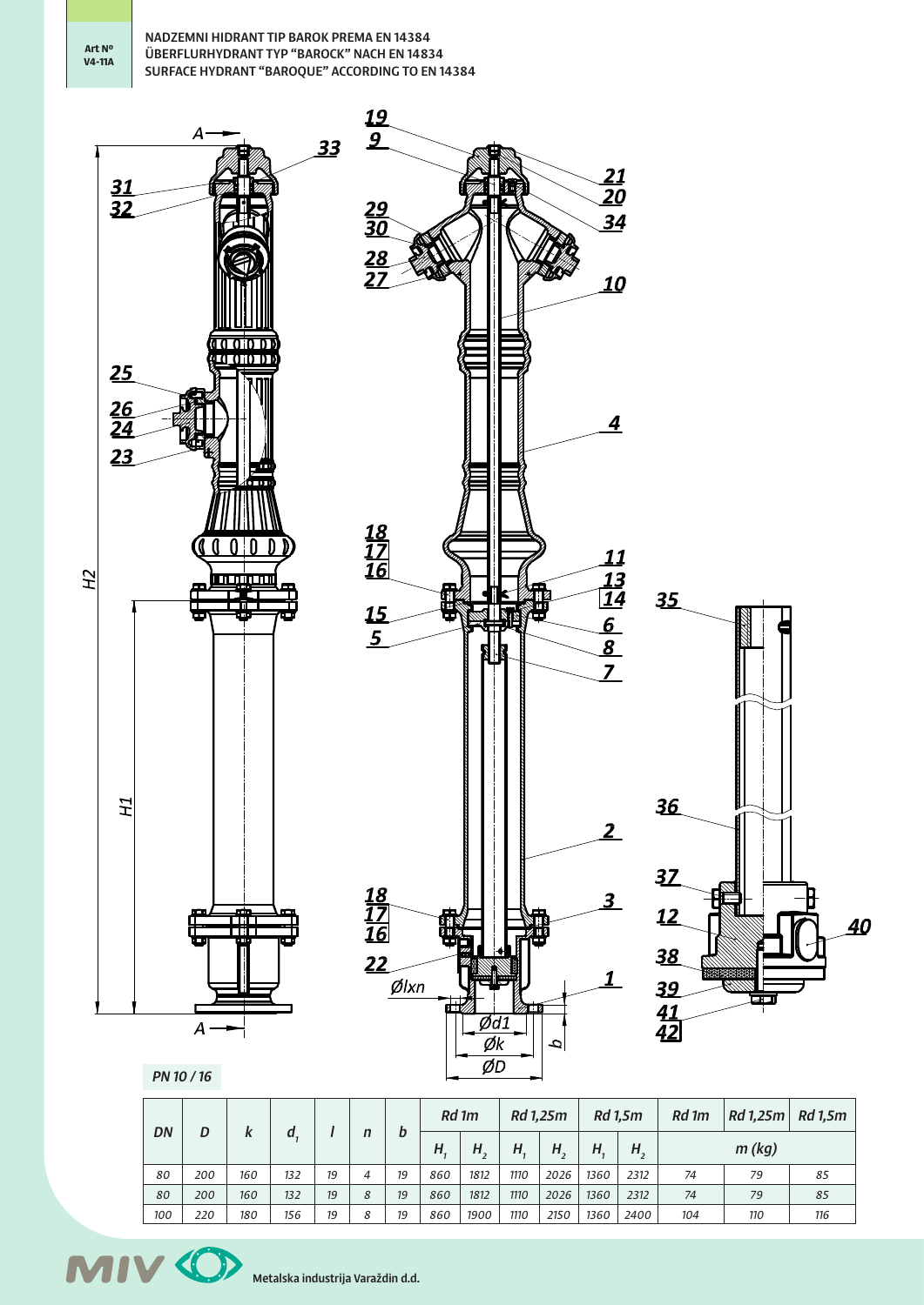NADZEMNI HIDRANT TIP BAROK PREMA EN 14384 ÜBERFLURHYDRANT TYP "BAROCK" NACH EN 14834 SURFACE HYDRANT "BAROQUE" ACCORDING TO EN 14384



| DN  |     | D<br>K | d   |    | $\mathsf{n}$ | b  | Rd 1m |      | Rd 1,25m |      | Rd 1,5m |      | Rd 1m | Rd 1,25m | <b>Rd</b> 1,5m |
|-----|-----|--------|-----|----|--------------|----|-------|------|----------|------|---------|------|-------|----------|----------------|
|     |     |        |     |    |              |    | Н.    | Н.   | Η.       | Η,   | Н.      | Н,   |       | m (kg)   |                |
| 80  | 200 | 160    | 132 | 19 | 4            | 19 | 860   | 1812 | 1110     | 2026 | 1360    | 2312 | 74    | 79       | 85             |
| 80  | 200 | 160    | 132 | 19 | 8            | 19 | 860   | 1812 | 1110     | 2026 | 1360    | 2312 | 74    | 79       | 85             |
| 100 | 220 | 180    | 156 | 19 | 8            | 19 | 860   | 1900 | 1110     | 2150 | 1360    | 2400 | 104   | 110      | 116            |

**MIV 40** Metalska industrija Varaždin d.d.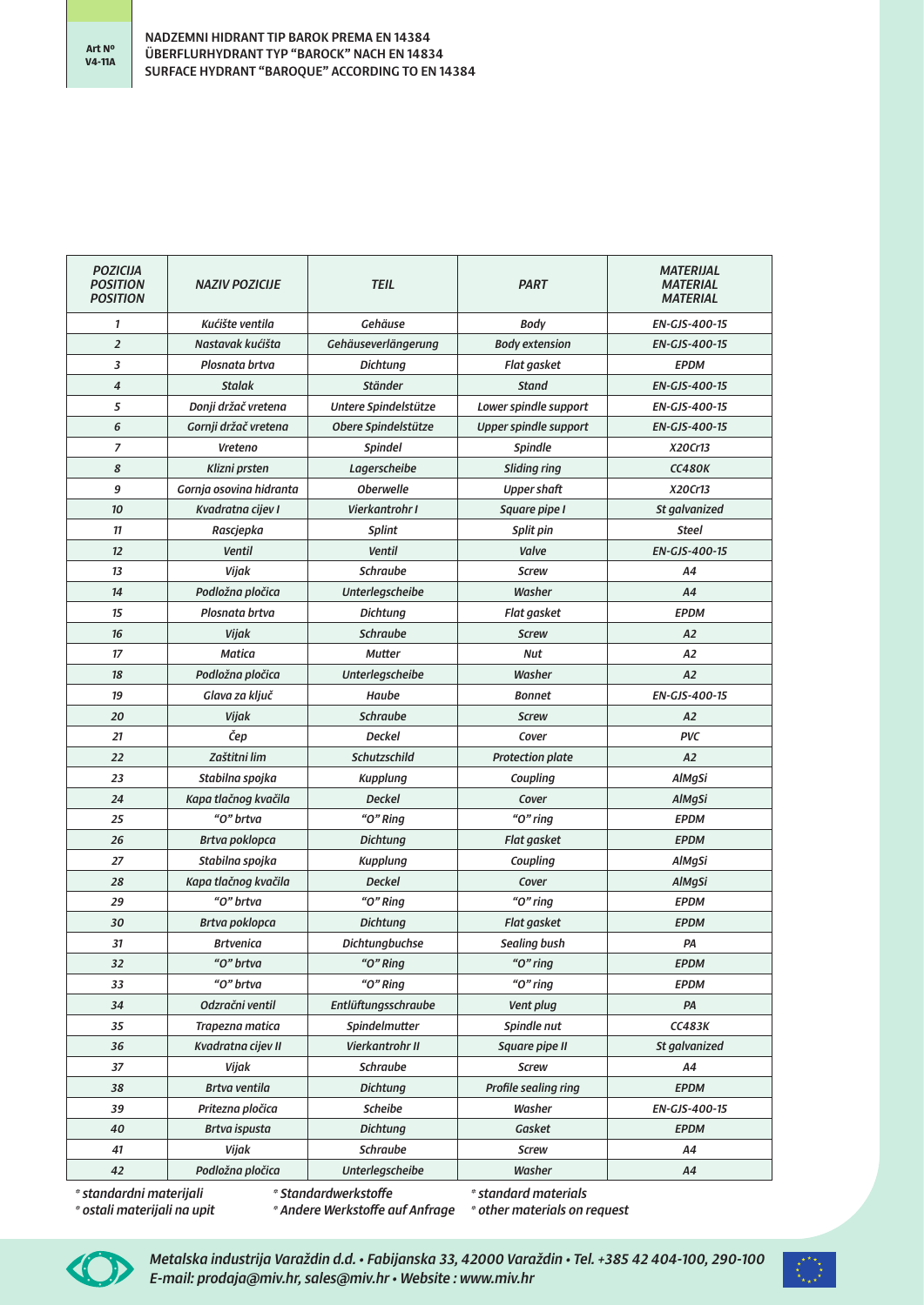| <b>POZICIJA</b><br><b>POSITION</b><br><b>POSITION</b> | <b>NAZIV POZICIJE</b>   | <b>TEIL</b>          | <b>PART</b>             | <b>MATERIJAL</b><br><b>MATERIAL</b><br><b>MATERIAL</b> |  |  |
|-------------------------------------------------------|-------------------------|----------------------|-------------------------|--------------------------------------------------------|--|--|
| 1                                                     | Kućište ventila         | Gehäuse              | Body                    | EN-GJS-400-15                                          |  |  |
| $\overline{2}$                                        | Nastavak kućišta        | Gehäuseverlängerung  | <b>Body extension</b>   | EN-GJS-400-15                                          |  |  |
| 3                                                     | Plosnata brtva          | Dichtung             | <b>Flat gasket</b>      | <b>EPDM</b>                                            |  |  |
| 4                                                     | <b>Stalak</b>           | Ständer              | <b>Stand</b>            | EN-GJS-400-15                                          |  |  |
| 5                                                     | Donji držač vretena     | Untere Spindelstütze | Lower spindle support   | EN-GJS-400-15                                          |  |  |
| 6                                                     | Gornji držač vretena    | Obere Spindelstütze  | Upper spindle support   | <b>EN-GJS-400-15</b>                                   |  |  |
| 7                                                     | Vreteno                 | <b>Spindel</b>       | <b>Spindle</b>          | X20Cr13                                                |  |  |
| 8                                                     | Klizni prsten           | Lagerscheibe         | Sliding ring            | <b>CC480K</b>                                          |  |  |
| 9                                                     | Gornja osovina hidranta | <b>Oberwelle</b>     | <b>Upper shaft</b>      | X20Cr13                                                |  |  |
| 10                                                    | Kvadratna cijev I       | Vierkantrohr I       | Square pipe I           | St galvanized                                          |  |  |
| 11                                                    | Rascjepka               | <b>Splint</b>        | Split pin               | <b>Steel</b>                                           |  |  |
| 12                                                    | <b>Ventil</b>           | <b>Ventil</b>        | Valve                   | EN-GJS-400-15                                          |  |  |
| 13                                                    | Vijak                   | <b>Schraube</b>      | <b>Screw</b>            | A4                                                     |  |  |
| 14                                                    | Podložna pločica        | Unterlegscheibe      | Washer                  | A4                                                     |  |  |
| 15                                                    | Plosnata brtva          | <b>Dichtung</b>      | Flat gasket             | <b>EPDM</b>                                            |  |  |
| 16                                                    | Vijak                   | <b>Schraube</b>      | <b>Screw</b>            | A2                                                     |  |  |
| 17                                                    | Matica                  | <b>Mutter</b>        | <b>Nut</b>              | A2                                                     |  |  |
| 18                                                    | Podložna pločica        | Unterlegscheibe      | Washer                  | A2                                                     |  |  |
| 19                                                    | Glava za ključ          | Haube                | <b>Bonnet</b>           | EN-GJS-400-15                                          |  |  |
| 20                                                    | Vijak                   | <b>Schraube</b>      | <b>Screw</b>            | A2                                                     |  |  |
| 21                                                    | Čep                     | <b>Deckel</b>        | Cover                   | <b>PVC</b>                                             |  |  |
| 22                                                    | Zaštitni lim            | Schutzschild         | <b>Protection plate</b> | A2                                                     |  |  |
| 23                                                    | Stabilna spojka         | <b>Kupplung</b>      | Coupling                | AlMgSi                                                 |  |  |
| 24                                                    | Kapa tlačnog kvačila    | <b>Deckel</b>        | Cover                   | AlMgSi                                                 |  |  |
| 25                                                    | "O" brtva               | "O" Ring             | "O" ring                | <b>EPDM</b>                                            |  |  |
| 26                                                    | Brtva poklopca          | <b>Dichtung</b>      | Flat gasket             | <b>EPDM</b>                                            |  |  |
| 27                                                    | Stabilna spojka         | <b>Kupplung</b>      | Coupling                | AlMgSi                                                 |  |  |
| 28                                                    | Kapa tlačnog kvačila    | <b>Deckel</b>        | Cover                   | AlMgSi                                                 |  |  |
| 29                                                    | "O" brtva               | " $O$ " Ring         | " $O$ " ring            | <b>EPDM</b>                                            |  |  |
| 30                                                    | Brtva poklopca          | <b>Dichtung</b>      | <b>Flat gasket</b>      | <b>EPDM</b>                                            |  |  |
| 31                                                    | <b>Brtvenica</b>        | Dichtungbuchse       | <b>Sealing bush</b>     | PA                                                     |  |  |
| 32                                                    | "O" brtva               | "O" Ring             | " $O$ " ring            | <b>EPDM</b>                                            |  |  |
| 33                                                    | "O" brtva               | "O" Ring             | "O" ring                | <b>EPDM</b>                                            |  |  |
| 34                                                    | Odzračni ventil         | Entlüftungsschraube  | Vent plug               | PA                                                     |  |  |
| 35                                                    | Trapezna matica         | Spindelmutter        | Spindle nut             | <b>CC483K</b>                                          |  |  |
| 36                                                    | Kvadratna cijev II      | Vierkantrohr II      | Square pipe II          | St galvanized                                          |  |  |
| 37                                                    | Vijak                   | <b>Schraube</b>      | <b>Screw</b>            | A4                                                     |  |  |
| 38                                                    | <b>Brtva ventila</b>    | <b>Dichtung</b>      | Profile sealing ring    | <b>EPDM</b>                                            |  |  |
| 39                                                    | Pritezna pločica        | Scheibe              | Washer                  | EN-GJS-400-15                                          |  |  |
| 40                                                    | <b>Brtva ispusta</b>    | <b>Dichtung</b>      | Gasket                  | <b>EPDM</b>                                            |  |  |
| 41                                                    | Vijak                   | Schraube             | <b>Screw</b>            | A4                                                     |  |  |
| 42                                                    | Podložna pločica        | Unterlegscheibe      | Washer                  | A4                                                     |  |  |

*\* standardni materijali \* ostali materijali na upit* *\* Standardwerkstoffe*

*\* standard materials*

*\* Andere Werkstoffe auf Anfrage \* other materials on request*



*Metalska industrija Varaždin d.d. • Fabijanska 33, 42000 Varaždin • Tel. +385 42 404-100, 290-100 E-mail: prodaja@miv.hr, sales@miv.hr • Website : www.miv.hr*